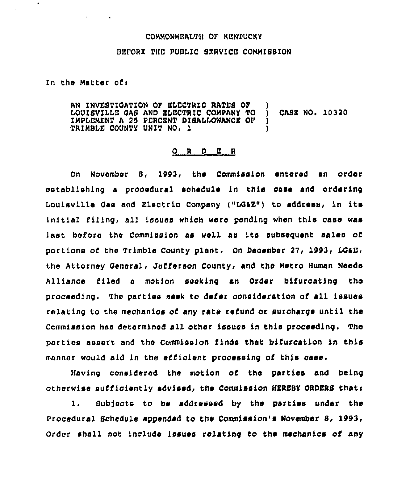## COMMONWEALTH OF RENTUCHY

## OLFOBE THE PUBLIC SERVICE COMMISSION

In the Matter ofi

 $\mathbf{r}$  $\sim$  100  $\pm$ 

AN INVESTIOATION OF ELECTRIC RATES OF ) LOUISVILLE GAS AND ELECTRIC COMPANY TO ) CASE NO. 10320<br>IMPLEMENT A 25 PERCENT DISALLOWANCE OF ) IMPLEMENT <sup>A</sup> 25 PERCENT DISALLOWANCE OF ) TRIMBLE COUNTY UNIT NO. 1

## 0 <sup>R</sup> <sup>D</sup> <sup>E</sup> <sup>R</sup>

On November 8, 1993, the Commission entered an order establishing a procedural sohedule in this case and ordering Louisville Gas and Electric Company ("LG&E") to address, in its initial filing, all issues which woro ponding when this case was last before the Commission as wali as its subsequent sales of portions of the Trimble County plant. On December 27, 1993, LG&E, the Attorney General, Jefferson County, and the Metro Human Needs Alliance filed a motion seeking an Order bifurcating the proceeding. The parties seek to defer consideration of all issues relating to the mechanics of any rate refund or surcharge until the Commission has determined all other issues in this proceeding, The parties assert and the Commission finds that bifurcation in this manner would aid in the efficient processing of this case.

Having considered the motion of the parties and being otherwise sufficiently advised, the Commission HERESY ORDERS thats

1. Subjects to be addressed by the parties under the Procedural Schedule appended to the Commission's November 8, Order shall not include issues relating to the mechanics of any